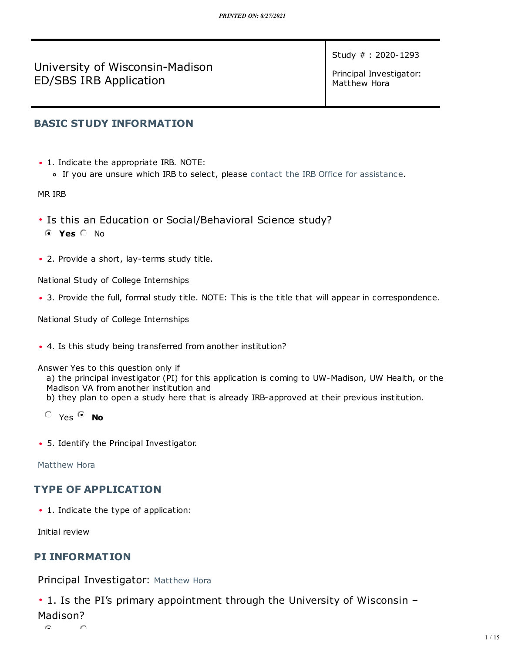University of Wisconsin-Madison ED/SBS IRB Application

Study # : 2020-1293

Principal Investigator: Matthew Hora

# **BASIC STUDY [INFORMATION](https://arrow.wisc.edu/arrow/sd/ResourceAdministration/Project/ProjectEditor?Project=com.webridge.entity.Entity[OID[B752A0D52BE25A4F8CFB8B228DE3B8F9]]&Mode=smartform&WizardPageOID=com.webridge.entity.Entity[OID[578C6B3AEE875B44AD0294FBE7F0A48F]])**

- 1. Indicate the appropriate IRB. NOTE:
	- If you are unsure which IRB to select, please contact the IRB Office for [assistance](https://irb.wisc.edu/about-us/contact-us/).

MR IRB

- Is this an Education or Social/Behavioral Science study?
- **Yes** No
- 2. Provide a short, lay-terms study title.

National Study of College Internships

• 3. Provide the full, formal study title. NOTE: This is the title that will appear in correspondence.

National Study of College Internships

• 4. Is this study being transferred from another institution?

Answer Yes to this question only if

a) the principal investigator (PI) for this application is coming to UW-Madison, UW Health, or the Madison VA from another institution and

- b) they plan to open a study here that is already IRB-approved at their previous institution.
- $O$  Yes  $O$  **No**
- 5. Identify the Principal Investigator.

[Matthew](https://arrow.wisc.edu/arrow/sd/Personalization/MyProfile?Person=com.webridge.account.Person[OID[12F98ED378A71040B92C80D20CA36AA1]]) Hora

# **TYPE OF [APPLICATION](https://arrow.wisc.edu/arrow/sd/ResourceAdministration/Project/ProjectEditor?Project=com.webridge.entity.Entity[OID[B752A0D52BE25A4F8CFB8B228DE3B8F9]]&Mode=smartform&WizardPageOID=com.webridge.entity.Entity[OID[795766CDB2D80043B731BA66D2AF83F2]])**

• 1. Indicate the type of application:

Initial review

# **PI [INFORMATION](https://arrow.wisc.edu/arrow/sd/ResourceAdministration/Project/ProjectEditor?Project=com.webridge.entity.Entity[OID[B752A0D52BE25A4F8CFB8B228DE3B8F9]]&Mode=smartform&WizardPageOID=com.webridge.entity.Entity[OID[D0B9FC79D7EF3E4E8CB070C6DF1656D4]])**

Principal Investigator: [Matthew](https://arrow.wisc.edu/arrow/sd/Personalization/MyProfile?Person=com.webridge.account.Person[OID[12F98ED378A71040B92C80D20CA36AA1]]) Hora

• 1. Is the PI's primary appointment through the University of Wisconsin –

## Madison?

 $\triangleright$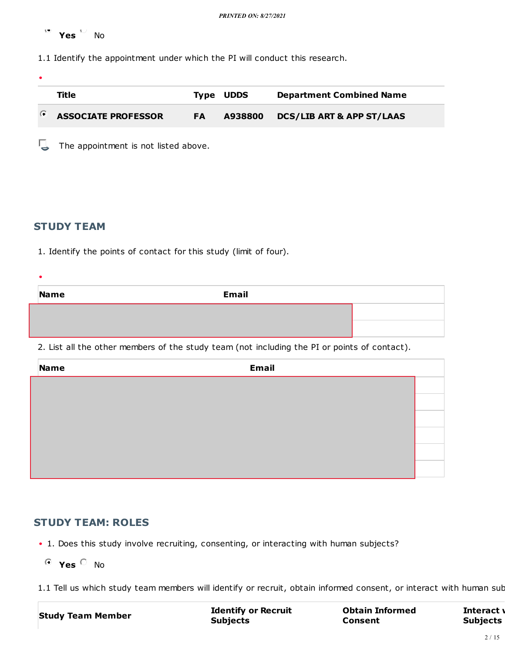**Yes** No

1.1 Identify the appointment under which the PI will conduct this research.

| ٠ |                            |           |                  |                                      |
|---|----------------------------|-----------|------------------|--------------------------------------|
|   | Title                      |           | <b>Type UDDS</b> | <b>Department Combined Name</b>      |
| O | <b>ASSOCIATE PROFESSOR</b> | <b>FA</b> | A938800          | <b>DCS/LIB ART &amp; APP ST/LAAS</b> |
|   |                            |           |                  |                                      |

The appointment is not listed above.

#### **[STUDY TEAM](https://arrow.wisc.edu/arrow/sd/ResourceAdministration/Project/ProjectEditor?Project=com.webridge.entity.Entity[OID[B752A0D52BE25A4F8CFB8B228DE3B8F9]]&Mode=smartform&WizardPageOID=com.webridge.entity.Entity[OID[A1B2E58DE4540A42BC47CDE6745552AA]])**

 $\bullet$ 

1. Identify the points of contact for this study (limit of four).

| <b>Email</b><br>Name |  |
|----------------------|--|
|                      |  |
|                      |  |

2. List all the other members of the study team (not including the PI or points of contact).

| Name | <b>Email</b> |  |
|------|--------------|--|
|      |              |  |
|      |              |  |
|      |              |  |
|      |              |  |
|      |              |  |
|      |              |  |

# **[STUDY TEAM: ROLES](https://arrow.wisc.edu/arrow/sd/ResourceAdministration/Project/ProjectEditor?Project=com.webridge.entity.Entity[OID[B752A0D52BE25A4F8CFB8B228DE3B8F9]]&Mode=smartform&WizardPageOID=com.webridge.entity.Entity[OID[820BDD1635565C4D8C84ECA9611060CA]])**

- 1. Does this study involve recruiting, consenting, or interacting with human subjects?
	- **Yes** No

1.1 Tell us which study team members will identify or recruit, obtain informed consent, or interact with human sub

**Study Team Member Identify or Recruit Subjects**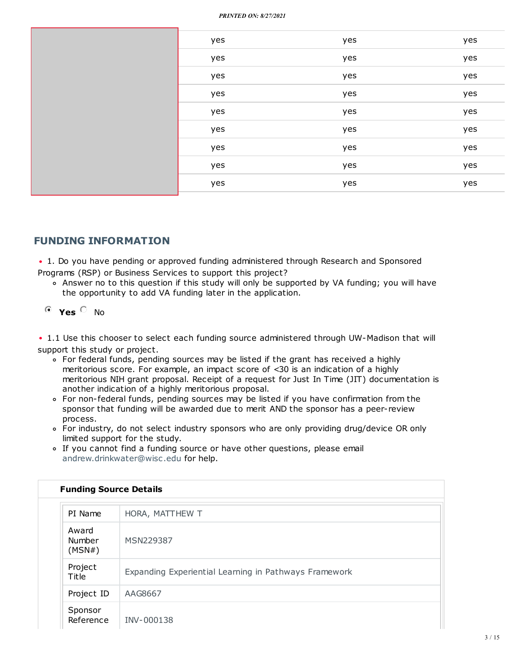|  | yes | yes | yes |
|--|-----|-----|-----|
|  | yes | yes | yes |
|  | yes | yes | yes |
|  | yes | yes | yes |
|  | yes | yes | yes |
|  | yes | yes | yes |
|  | yes | yes | yes |
|  | yes | yes | yes |
|  | yes | yes | yes |
|  |     |     |     |

# **FUNDING [INFORMATION](https://arrow.wisc.edu/arrow/sd/ResourceAdministration/Project/ProjectEditor?Project=com.webridge.entity.Entity[OID[B752A0D52BE25A4F8CFB8B228DE3B8F9]]&Mode=smartform&WizardPageOID=com.webridge.entity.Entity[OID[6FE9080F61FFD9429D4BACB0C8FC79ED]])**

• 1. Do you have pending or approved funding administered through Research and Sponsored Programs (RSP) or Business Services to support this project?

Answer no to this question if this study will only be supported by VA funding; you will have the opportunity to add VA funding later in the application.

# **Yes** No

• 1.1 Use this chooser to select each funding source administered through UW-Madison that will support this study or project.

- For federal funds, pending sources may be listed if the grant has received a highly meritorious score. For example, an impact score of <30 is an indication of a highly meritorious NIH grant proposal. Receipt of a request for Just In Time (JIT) documentation is another indication of a highly meritorious proposal.
- For non-federal funds, pending sources may be listed if you have confirmation from the sponsor that funding will be awarded due to merit AND the sponsor has a peer-review process.
- For industry, do not select industry sponsors who are only providing drug/device OR only limited support for the study.
- If you cannot find a funding source or have other questions, please email [andrew.drinkwater@wisc.edu](mailto:andrew.drinkwater@wisc.edu) for help.

| <b>Funding Source Details</b> |                                                       |
|-------------------------------|-------------------------------------------------------|
| PI Name                       | HORA, MATTHEW T                                       |
| Award<br>Number<br>(MSN#)     | MSN229387                                             |
| Project<br>Title              | Expanding Experiential Learning in Pathways Framework |
| Project ID                    | AAG8667                                               |
| Sponsor<br>Reference          | INV-000138                                            |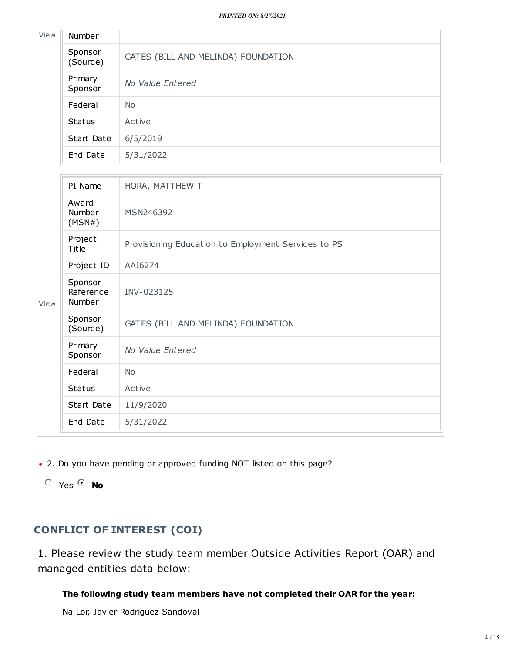| View | Number              |                                     |
|------|---------------------|-------------------------------------|
|      | Sponsor<br>(Source) | GATES (BILL AND MELINDA) FOUNDATION |
|      | Primary<br>Sponsor  | No Value Entered                    |
|      | Federal             | <b>No</b>                           |
|      | <b>Status</b>       | Active                              |
|      | Start Date          | 6/5/2019                            |
|      | End Date            | 5/31/2022                           |

|      | PI Name                        | HORA, MATTHEW T                                     |
|------|--------------------------------|-----------------------------------------------------|
|      | Award<br>Number<br>(MSN#)      | MSN246392                                           |
|      | Project<br>Title               | Provisioning Education to Employment Services to PS |
|      | Project ID                     | AAI6274                                             |
| View | Sponsor<br>Reference<br>Number | INV-023125                                          |
|      | Sponsor<br>(Source)            | GATES (BILL AND MELINDA) FOUNDATION                 |
|      | Primary<br>Sponsor             | No Value Entered                                    |
|      | Federal                        | <b>No</b>                                           |
|      | <b>Status</b>                  | Active                                              |
|      | Start Date                     | 11/9/2020                                           |
|      | End Date                       | 5/31/2022                                           |

• 2. Do you have pending or approved funding NOT listed on this page?

Yes **No**

# **[CONFLICT](https://arrow.wisc.edu/arrow/sd/ResourceAdministration/Project/ProjectEditor?Project=com.webridge.entity.Entity[OID[B752A0D52BE25A4F8CFB8B228DE3B8F9]]&Mode=smartform&WizardPageOID=com.webridge.entity.Entity[OID[9CD39DA60B48D2428D74D9D51A8D0065]]) OF INTEREST (COI)**

1. Please review the study team member Outside Activities Report (OAR) and managed entities data below:

# **The following study team members have not completed their OAR for the year:**

Na Lor, Javier Rodriguez Sandoval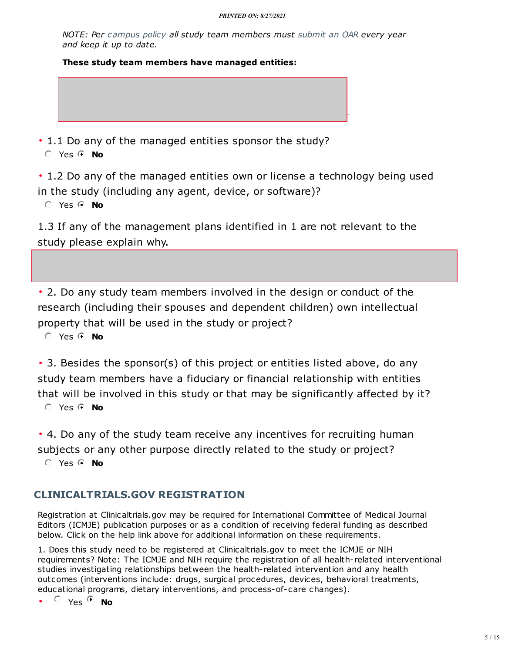*NOTE: Per [campus](https://kb.wisc.edu/gsadminkb/page.php?id=32993) policy all study team members must [submit](https://research.wisc.edu/compliance-policy/outside-activities-reporting) an OAR every year and keep it up to date.*

**These study team members have managed entities:**

• 1.1 Do any of the managed entities sponsor the study? Yes **No**

• 1.2 Do any of the managed entities own or license a technology being used in the study (including any agent, device, or software)?

Yes **No**

1.3 If any of the management plans identified in 1 are not relevant to the study please explain why.

• 2. Do any study team members involved in the design or conduct of the research (including their spouses and dependent children) own intellectual property that will be used in the study or project?

Yes **No**

• 3. Besides the sponsor(s) of this project or entities listed above, do any study team members have a fiduciary or financial relationship with entities that will be involved in this study or that may be significantly affected by it? Yes **No**

• 4. Do any of the study team receive any incentives for recruiting human subjects or any other purpose directly related to the study or project?

Yes **No**

# **[CLINICALTRIALS.GOV](https://arrow.wisc.edu/arrow/sd/ResourceAdministration/Project/ProjectEditor?Project=com.webridge.entity.Entity[OID[B752A0D52BE25A4F8CFB8B228DE3B8F9]]&Mode=smartform&WizardPageOID=com.webridge.entity.Entity[OID[B6FEB6909A87694EA27D03570B3BA4FF]]) REGISTRATION**

Registration at Clinicaltrials.gov may be required for International Committee of Medical Journal Editors (ICMJE) publication purposes or as a condition of receiving federal funding as described below. Click on the help link above for additional information on these requirements.

1. Does this study need to be registered at Clinicaltrials.gov to meet the ICMJE or NIH requirements? Note: The ICMJE and NIH require the registration of all health-related interventional studies investigating relationships between the health-related intervention and any health outcomes (interventions include: drugs, surgical procedures, devices, behavioral treatments, educational programs, dietary interventions, and process-of-care changes).

 $\bullet$   $\circ$   $\vee$  es  $\circ$  **No**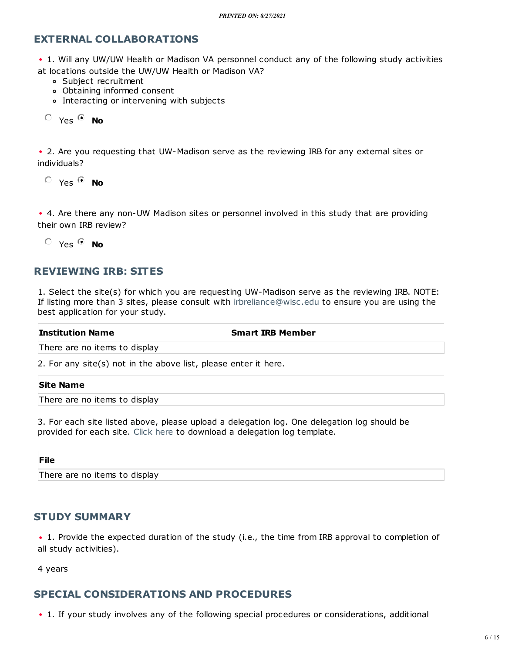#### **EXTERNAL [COLLABORATIONS](https://arrow.wisc.edu/arrow/sd/ResourceAdministration/Project/ProjectEditor?Project=com.webridge.entity.Entity[OID[B752A0D52BE25A4F8CFB8B228DE3B8F9]]&Mode=smartform&WizardPageOID=com.webridge.entity.Entity[OID[39BE02E9A9FD5144AB4F0F6A40DEC89E]])**

• 1. Will any UW/UW Health or Madison VA personnel conduct any of the following study activities at locations outside the UW/UW Health or Madison VA?

- Subject recruitment
- Obtaining informed consent
- Interacting or intervening with subjects

Yes **No**

• 2. Are you requesting that UW-Madison serve as the reviewing IRB for any external sites or individuals?

 $O$  Yes  $O$  **No** 

• 4. Are there any non-UW Madison sites or personnel involved in this study that are providing their own IRB review?

 $O$  Yes  $O$  **No** 

# **[REVIEWING](https://arrow.wisc.edu/arrow/sd/ResourceAdministration/Project/ProjectEditor?Project=com.webridge.entity.Entity[OID[B752A0D52BE25A4F8CFB8B228DE3B8F9]]&Mode=smartform&WizardPageOID=com.webridge.entity.Entity[OID[B4D47F3A98975A4686C16AB3F2456890]]) IRB: SITES**

1. Select the site(s) for which you are requesting UW-Madison serve as the reviewing IRB. NOTE: If listing more than 3 sites, please consult with [irbreliance@wisc.edu](mailto:irbreliance@wisc.edu) to ensure you are using the best application for your study.

| <b>Institution Name</b>                                         | <b>Smart IRB Member</b> |
|-----------------------------------------------------------------|-------------------------|
| There are no items to display                                   |                         |
| 2. For any site(s) not in the above list, please enter it here. |                         |

#### **Site Name**

There are no items to display

3. For each site listed above, please upload a delegation log. One delegation log should be provided for each site. [Click](https://kb.wisc.edu/images/group99/shared/DelegationLog_v4_09.2018.xlsx) here to download a delegation log template.

#### **File**

There are no items to display

#### **STUDY [SUMMARY](https://arrow.wisc.edu/arrow/sd/ResourceAdministration/Project/ProjectEditor?Project=com.webridge.entity.Entity[OID[B752A0D52BE25A4F8CFB8B228DE3B8F9]]&Mode=smartform&WizardPageOID=com.webridge.entity.Entity[OID[31BD460954E6BA4FA86490F6F3BDF06B]])**

• 1. Provide the expected duration of the study (i.e., the time from IRB approval to completion of all study activities).

4 years

# **SPECIAL [CONSIDERATIONS](https://arrow.wisc.edu/arrow/sd/ResourceAdministration/Project/ProjectEditor?Project=com.webridge.entity.Entity[OID[B752A0D52BE25A4F8CFB8B228DE3B8F9]]&Mode=smartform&WizardPageOID=com.webridge.entity.Entity[OID[16AC11FAEF1B0B44ACB11E507CAADB9B]]) AND PROCEDURES**

• 1. If your study involves any of the following special procedures or considerations, additional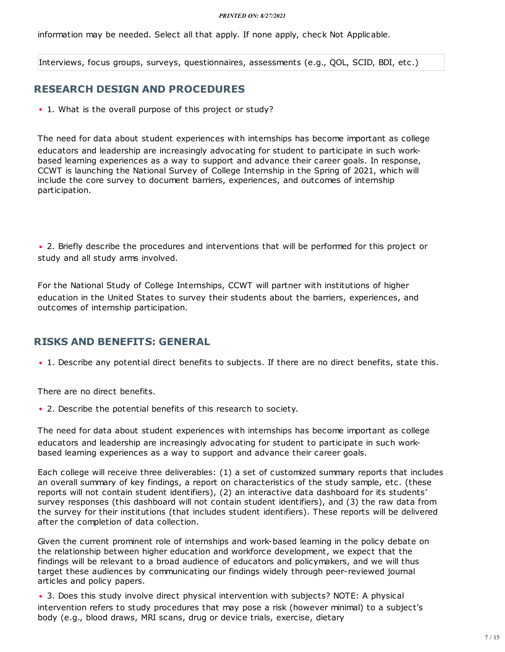information may be needed. Select all that apply. If none apply, check Not Applicable.

Interviews, focus groups, surveys, questionnaires, assessments (e.g., QOL, SCID, BDI, etc.)

#### **RESEARCH DESIGN AND [PROCEDURES](https://arrow.wisc.edu/arrow/sd/ResourceAdministration/Project/ProjectEditor?Project=com.webridge.entity.Entity[OID[B752A0D52BE25A4F8CFB8B228DE3B8F9]]&Mode=smartform&WizardPageOID=com.webridge.entity.Entity[OID[6EFC1EDF7FC95D40BDF355FD797B9107]])**

• 1. What is the overall purpose of this project or study?

The need for data about student experiences with internships has become important as college educators and leadership are increasingly advocating for student to participate in such workbased learning experiences as a way to support and advance their career goals. In response, CCWT is launching the National Survey of College Internship in the Spring of 2021, which will include the core survey to document barriers, experiences, and outcomes of internship participation.

• 2. Briefly describe the procedures and interventions that will be performed for this project or study and all study arms involved.

For the National Study of College Internships, CCWT will partner with institutions of higher education in the United States to survey their students about the barriers, experiences, and outcomes of internship participation.

#### **RISKS AND [BENEFITS:](https://arrow.wisc.edu/arrow/sd/ResourceAdministration/Project/ProjectEditor?Project=com.webridge.entity.Entity[OID[B752A0D52BE25A4F8CFB8B228DE3B8F9]]&Mode=smartform&WizardPageOID=com.webridge.entity.Entity[OID[289625FB9F338148B733B674CD2728A3]]) GENERAL**

• 1. Describe any potential direct benefits to subjects. If there are no direct benefits, state this.

There are no direct benefits.

2. Describe the potential benefits of this research to society. i

The need for data about student experiences with internships has become important as college educators and leadership are increasingly advocating for student to participate in such workbased learning experiences as a way to support and advance their career goals.

Each college will receive three deliverables: (1) a set of customized summary reports that includes an overall summary of key findings, a report on characteristics of the study sample, etc. (these reports will not contain student identifiers), (2) an interactive data dashboard for its students' survey responses (this dashboard will not contain student identifiers), and (3) the raw data from the survey for their institutions (that includes student identifiers). These reports will be delivered after the completion of data collection.

Given the current prominent role of internships and work-based learning in the policy debate on the relationship between higher education and workforce development, we expect that the findings will be relevant to a broad audience of educators and policymakers, and we will thus target these audiences by communicating our findings widely through peer-reviewed journal articles and policy papers.

• 3. Does this study involve direct physical intervention with subjects? NOTE: A physical intervention refers to study procedures that may pose a risk (however minimal) to a subject's body (e.g., blood draws, MRI scans, drug or device trials, exercise, dietary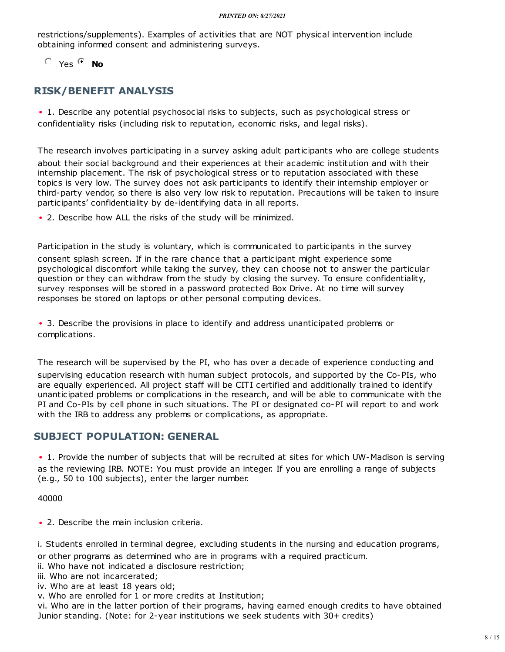restrictions/supplements). Examples of activities that are NOT physical intervention include obtaining informed consent and administering surveys.

Yes **No**

# **[RISK/BENEFIT](https://arrow.wisc.edu/arrow/sd/ResourceAdministration/Project/ProjectEditor?Project=com.webridge.entity.Entity[OID[B752A0D52BE25A4F8CFB8B228DE3B8F9]]&Mode=smartform&WizardPageOID=com.webridge.entity.Entity[OID[D7C9C25F6EC90B4DA7CD642D595C922F]]) ANALYSIS**

• 1. Describe any potential psychosocial risks to subjects, such as psychological stress or confidentiality risks (including risk to reputation, economic risks, and legal risks).

The research involves participating in a survey asking adult participants who are college students about their social background and their experiences at their academic institution and with their internship placement. The risk of psychological stress or to reputation associated with these topics is very low. The survey does not ask participants to identify their internship employer or third-party vendor, so there is also very low risk to reputation. Precautions will be taken to insure participants' confidentiality by de-identifying data in all reports.

• 2. Describe how ALL the risks of the study will be minimized.

Participation in the study is voluntary, which is communicated to participants in the survey consent splash screen. If in the rare chance that a participant might experience some psychological discomfort while taking the survey, they can choose not to answer the particular question or they can withdraw from the study by closing the survey. To ensure confidentiality, survey responses will be stored in a password protected Box Drive. At no time will survey responses be stored on laptops or other personal computing devices.

3. Describe the provisions in place to identify and address unanticipated problems or i complications.

The research will be supervised by the PI, who has over a decade of experience conducting and supervising education research with human subject protocols, and supported by the Co-PIs, who are equally experienced. All project staff will be CITI certified and additionally trained to identify unanticipated problems or complications in the research, and will be able to communicate with the PI and Co-PIs by cell phone in such situations. The PI or designated co-PI will report to and work with the IRB to address any problems or complications, as appropriate.

# **SUBJECT [POPULATION:](https://arrow.wisc.edu/arrow/sd/ResourceAdministration/Project/ProjectEditor?Project=com.webridge.entity.Entity[OID[B752A0D52BE25A4F8CFB8B228DE3B8F9]]&Mode=smartform&WizardPageOID=com.webridge.entity.Entity[OID[40BCB491536EEC428B22A9170DB82094]]) GENERAL**

• 1. Provide the number of subjects that will be recruited at sites for which UW-Madison is serving as the reviewing IRB. NOTE: You must provide an integer. If you are enrolling a range of subjects (e.g., 50 to 100 subjects), enter the larger number.

40000

• 2. Describe the main inclusion criteria.

i. Students enrolled in terminal degree, excluding students in the nursing and education programs,

or other programs as determined who are in programs with a required practicum.

- ii. Who have not indicated a disclosure restriction;
- iii. Who are not incarcerated;
- iv. Who are at least 18 years old;

v. Who are enrolled for 1 or more credits at Institution;

vi. Who are in the latter portion of their programs, having earned enough credits to have obtained Junior standing. (Note: for 2-year institutions we seek students with 30+ credits)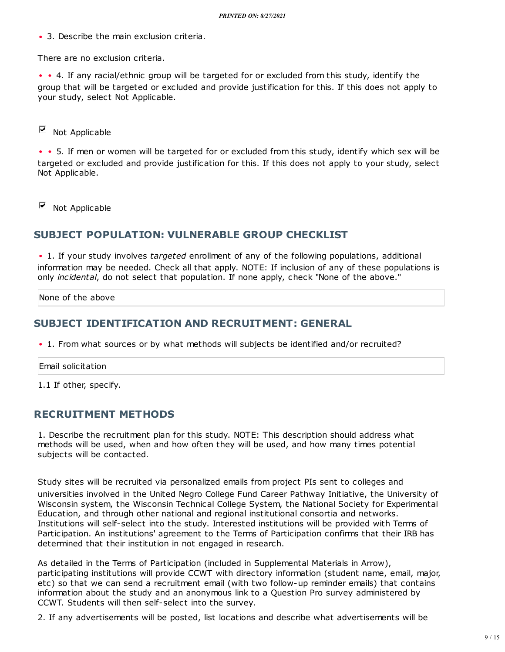• 3. Describe the main exclusion criteria.

There are no exclusion criteria.

• • 4. If any racial/ethnic group will be targeted for or excluded from this study, identify the group that will be targeted or excluded and provide justification for this. If this does not apply to your study, select Not Applicable.

 $\blacksquare$  Not Applicable

• • 5. If men or women will be targeted for or excluded from this study, identify which sex will be targeted or excluded and provide justification for this. If this does not apply to your study, select Not Applicable.

Not Applicable

#### **SUBJECT [POPULATION:](https://arrow.wisc.edu/arrow/sd/ResourceAdministration/Project/ProjectEditor?Project=com.webridge.entity.Entity[OID[B752A0D52BE25A4F8CFB8B228DE3B8F9]]&Mode=smartform&WizardPageOID=com.webridge.entity.Entity[OID[48F1781D0D79004FAD08558ABC464198]]) VULNERABLE GROUP CHECKLIST**

• 1. If your study involves *targeted* enrollment of any of the following populations, additional information may be needed. Check all that apply. NOTE: If inclusion of any of these populations is only *incidental*, do not select that population. If none apply, check "None of the above."

None of the above

#### **SUBJECT [IDENTIFICATION](https://arrow.wisc.edu/arrow/sd/ResourceAdministration/Project/ProjectEditor?Project=com.webridge.entity.Entity[OID[B752A0D52BE25A4F8CFB8B228DE3B8F9]]&Mode=smartform&WizardPageOID=com.webridge.entity.Entity[OID[83F46791548EB44E9A2E44CF1CA42A9A]]) AND RECRUITMENT: GENERAL**

• 1. From what sources or by what methods will subjects be identified and/or recruited?

Email solicitation

1.1 If other, specify.

#### **[RECRUITMENT](https://arrow.wisc.edu/arrow/sd/ResourceAdministration/Project/ProjectEditor?Project=com.webridge.entity.Entity[OID[B752A0D52BE25A4F8CFB8B228DE3B8F9]]&Mode=smartform&WizardPageOID=com.webridge.entity.Entity[OID[225589F581664545AC644945549F6AE9]]) METHODS**

1. Describe the recruitment plan for this study. NOTE: This description should address what methods will be used, when and how often they will be used, and how many times potential subjects will be contacted.

Study sites will be recruited via personalized emails from project PIs sent to colleges and universities involved in the United Negro College Fund Career Pathway Initiative, the University of Wisconsin system, the Wisconsin Technical College System, the National Society for Experimental Education, and through other national and regional institutional consortia and networks. Institutions will self-select into the study. Interested institutions will be provided with Terms of Participation. An institutions' agreement to the Terms of Participation confirms that their IRB has determined that their institution in not engaged in research.

As detailed in the Terms of Participation (included in Supplemental Materials in Arrow), participating institutions will provide CCWT with directory information (student name, email, major, etc) so that we can send a recruitment email (with two follow-up reminder emails) that contains information about the study and an anonymous link to a Question Pro survey administered by CCWT. Students will then self-select into the survey.

2. If any advertisements will be posted, list locations and describe what advertisements will be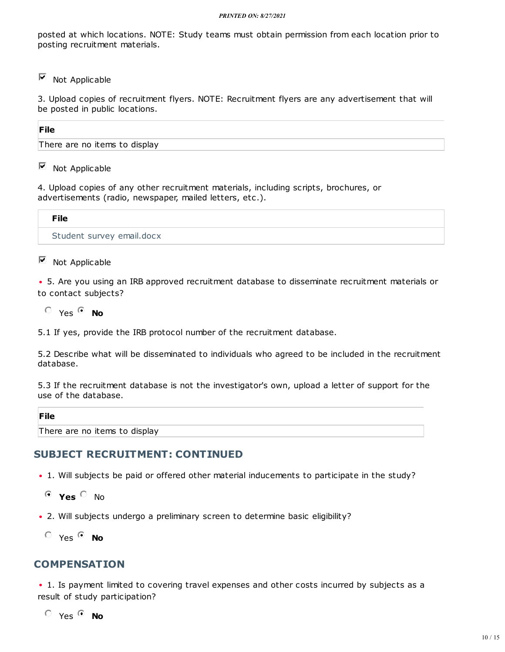posted at which locations. NOTE: Study teams must obtain permission from each location prior to posting recruitment materials.

П Not Applicable

3. Upload copies of recruitment flyers. NOTE: Recruitment flyers are any advertisement that will be posted in public locations.

#### **File**

There are no items to display

 $\Box$  Not Applicable

4. Upload copies of any other recruitment materials, including scripts, brochures, or advertisements (radio, newspaper, mailed letters, etc.).

| <b>File</b>               |  |
|---------------------------|--|
| Student survey email.docx |  |

#### Г Not Applicable

5. Are you using an IRB approved recruitment database to disseminate recruitment materials or i to contact subjects?

 $O$  Yes  $O$  **No** 

5.1 If yes, provide the IRB protocol number of the recruitment database.

5.2 Describe what will be disseminated to individuals who agreed to be included in the recruitment database.

5.3 If the recruitment database is not the investigator's own, upload a letter of support for the use of the database.

#### **File**

There are no items to display

# **SUBJECT [RECRUITMENT:](https://arrow.wisc.edu/arrow/sd/ResourceAdministration/Project/ProjectEditor?Project=com.webridge.entity.Entity[OID[B752A0D52BE25A4F8CFB8B228DE3B8F9]]&Mode=smartform&WizardPageOID=com.webridge.entity.Entity[OID[3F667C1ECF1DEB4A84488F482940218A]]) CONTINUED**

- 1. Will subjects be paid or offered other material inducements to participate in the study?
- **Yes** No
- 2. Will subjects undergo a preliminary screen to determine basic eligibility?
- $O$  Yes  $O$  **No**

# **[COMPENSATION](https://arrow.wisc.edu/arrow/sd/ResourceAdministration/Project/ProjectEditor?Project=com.webridge.entity.Entity[OID[B752A0D52BE25A4F8CFB8B228DE3B8F9]]&Mode=smartform&WizardPageOID=com.webridge.entity.Entity[OID[3BA5339646ACBE4EABDDB411660E3324]])**

• 1. Is payment limited to covering travel expenses and other costs incurred by subjects as a result of study participation?

 $O$  Yes  $O$  **No**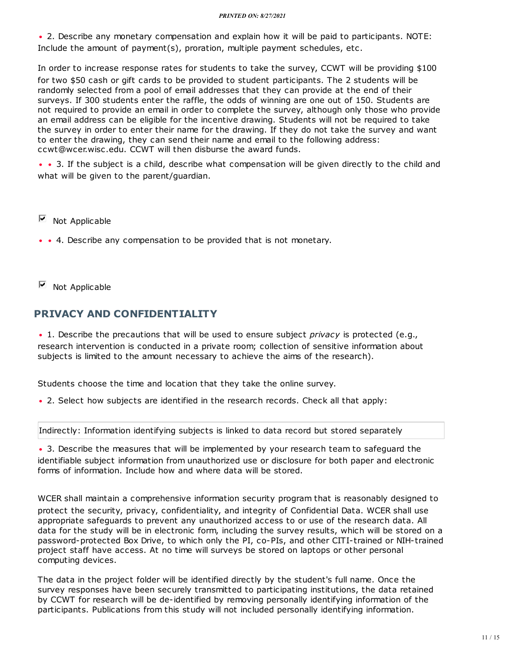2. Describe any monetary compensation and explain how it will be paid to participants. NOTE: i Include the amount of payment(s), proration, multiple payment schedules, etc.

In order to increase response rates for students to take the survey, CCWT will be providing \$100 for two \$50 cash or gift cards to be provided to student participants. The 2 students will be randomly selected from a pool of email addresses that they can provide at the end of their surveys. If 300 students enter the raffle, the odds of winning are one out of 150. Students are not required to provide an email in order to complete the survey, although only those who provide an email address can be eligible for the incentive drawing. Students will not be required to take the survey in order to enter their name for the drawing. If they do not take the survey and want to enter the drawing, they can send their name and email to the following address: ccwt@wcer.wisc.edu. CCWT will then disburse the award funds.

• • 3. If the subject is a child, describe what compensation will be given directly to the child and what will be given to the parent/guardian.

П Not Applicable

• • 4. Describe any compensation to be provided that is not monetary.

 $\Box$ Not Applicable

#### **PRIVACY AND [CONFIDENTIALITY](https://arrow.wisc.edu/arrow/sd/ResourceAdministration/Project/ProjectEditor?Project=com.webridge.entity.Entity[OID[B752A0D52BE25A4F8CFB8B228DE3B8F9]]&Mode=smartform&WizardPageOID=com.webridge.entity.Entity[OID[87F49EA9A7B92147A54ADCFB5B082DE4]])**

• 1. Describe the precautions that will be used to ensure subject *privacy* is protected (e.g., research intervention is conducted in a private room; collection of sensitive information about subjects is limited to the amount necessary to achieve the aims of the research).

Students choose the time and location that they take the online survey.

• 2. Select how subjects are identified in the research records. Check all that apply:

Indirectly: Information identifying subjects is linked to data record but stored separately

• 3. Describe the measures that will be implemented by your research team to safeguard the identifiable subject information from unauthorized use or disclosure for both paper and electronic forms of information. Include how and where data will be stored.

WCER shall maintain a comprehensive information security program that is reasonably designed to protect the security, privacy, confidentiality, and integrity of Confidential Data. WCER shall use appropriate safeguards to prevent any unauthorized access to or use of the research data. All data for the study will be in electronic form, including the survey results, which will be stored on a password-protected Box Drive, to which only the PI, co-PIs, and other CITI-trained or NIH-trained project staff have access. At no time will surveys be stored on laptops or other personal computing devices.

The data in the project folder will be identified directly by the student's full name. Once the survey responses have been securely transmitted to participating institutions, the data retained by CCWT for research will be de-identified by removing personally identifying information of the participants. Publications from this study will not included personally identifying information.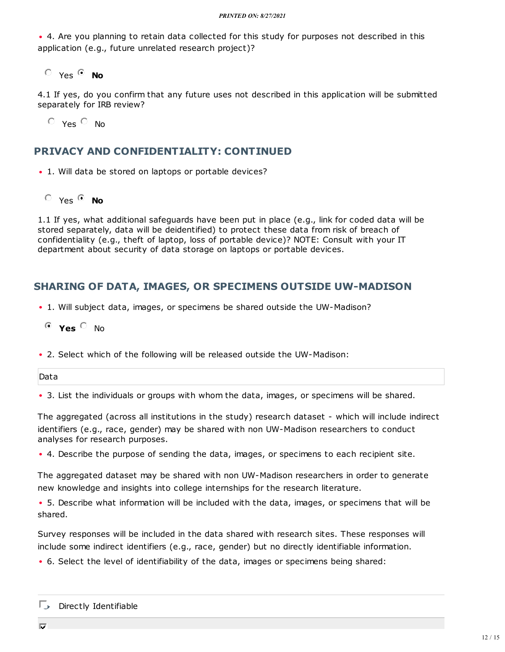• 4. Are you planning to retain data collected for this study for purposes not described in this application (e.g., future unrelated research project)?

 $O$  Yes  $O$  **No** 

4.1 If yes, do you confirm that any future uses not described in this application will be submitted separately for IRB review?

 $O$  Yes  $O$  No

#### **PRIVACY AND [CONFIDENTIALITY:](https://arrow.wisc.edu/arrow/sd/ResourceAdministration/Project/ProjectEditor?Project=com.webridge.entity.Entity[OID[B752A0D52BE25A4F8CFB8B228DE3B8F9]]&Mode=smartform&WizardPageOID=com.webridge.entity.Entity[OID[91A57AE6F2323E4E9A65C0D854DABAC6]]) CONTINUED**

• 1. Will data be stored on laptops or portable devices?

Yes **No**

1.1 If yes, what additional safeguards have been put in place (e.g., link for coded data will be stored separately, data will be deidentified) to protect these data from risk of breach of confidentiality (e.g., theft of laptop, loss of portable device)? NOTE: Consult with your IT department about security of data storage on laptops or portable devices.

# **SHARING OF DATA, IMAGES, OR SPECIMENS OUTSIDE [UW-MADISON](https://arrow.wisc.edu/arrow/sd/ResourceAdministration/Project/ProjectEditor?Project=com.webridge.entity.Entity[OID[B752A0D52BE25A4F8CFB8B228DE3B8F9]]&Mode=smartform&WizardPageOID=com.webridge.entity.Entity[OID[E210EB964ED3794DBEA495AFDB108825]])**

- 1. Will subject data, images, or specimens be shared outside the UW-Madison?
- $O$  **Yes**  $O$  No.
- 2. Select which of the following will be released outside the UW-Madison: i

Data

• 3. List the individuals or groups with whom the data, images, or specimens will be shared.

The aggregated (across all institutions in the study) research dataset - which will include indirect identifiers (e.g., race, gender) may be shared with non UW-Madison researchers to conduct analyses for research purposes.

4. Describe the purpose of sending the data, images, or specimens to each recipient site. i

The aggregated dataset may be shared with non UW-Madison researchers in order to generate new knowledge and insights into college internships for the research literature.

5. Describe what information will be included with the data, images, or specimens that will be i shared.

Survey responses will be included in the data shared with research sites. These responses will include some indirect identifiers (e.g., race, gender) but no directly identifiable information.

6. Select the level of identifiability of the data, images or specimens being shared: i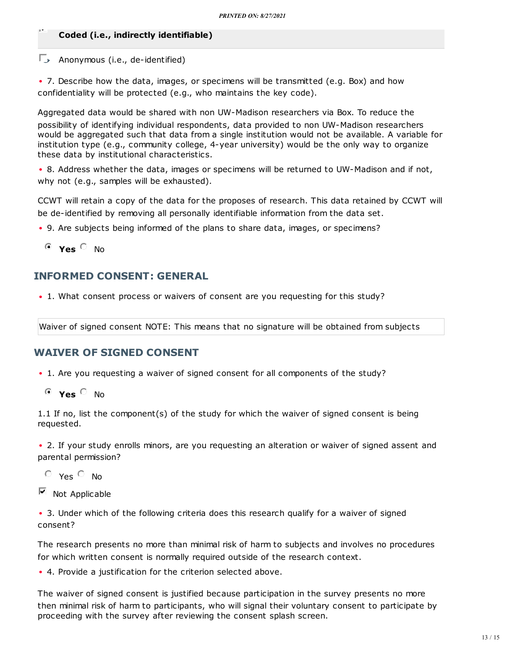#### **Coded (i.e., indirectly identifiable)**

#### $\Box$  Anonymous (i.e., de-identified)

• 7. Describe how the data, images, or specimens will be transmitted (e.g. Box) and how confidentiality will be protected (e.g., who maintains the key code).

Aggregated data would be shared with non UW-Madison researchers via Box. To reduce the possibility of identifying individual respondents, data provided to non UW-Madison researchers would be aggregated such that data from a single institution would not be available. A variable for institution type (e.g., community college, 4-year university) would be the only way to organize these data by institutional characteristics.

• 8. Address whether the data, images or specimens will be returned to UW-Madison and if not, why not (e.g., samples will be exhausted).

CCWT will retain a copy of the data for the proposes of research. This data retained by CCWT will be de-identified by removing all personally identifiable information from the data set.

- 9. Are subjects being informed of the plans to share data, images, or specimens? i
- $O$  **Yes**  $O$  No

# **[INFORMED](https://arrow.wisc.edu/arrow/sd/ResourceAdministration/Project/ProjectEditor?Project=com.webridge.entity.Entity[OID[B752A0D52BE25A4F8CFB8B228DE3B8F9]]&Mode=smartform&WizardPageOID=com.webridge.entity.Entity[OID[13309A7DAE73F54B80DCD2AC4954EBC3]]) CONSENT: GENERAL**

• 1. What consent process or waivers of consent are you requesting for this study?

Waiver of signed consent NOTE: This means that no signature will be obtained from subjects

# **WAIVER OF SIGNED [CONSENT](https://arrow.wisc.edu/arrow/sd/ResourceAdministration/Project/ProjectEditor?Project=com.webridge.entity.Entity[OID[B752A0D52BE25A4F8CFB8B228DE3B8F9]]&Mode=smartform&WizardPageOID=com.webridge.entity.Entity[OID[B556C0A3BBA3D54C9B143C701348A5B7]])**

- 1. Are you requesting a waiver of signed consent for all components of the study?
- **Yes** No

1.1 If no, list the component(s) of the study for which the waiver of signed consent is being requested.

• 2. If your study enrolls minors, are you requesting an alteration or waiver of signed assent and parental permission?

 $O$  Yes  $O$  No

Γ Not Applicable

• 3. Under which of the following criteria does this research qualify for a waiver of signed consent?

The research presents no more than minimal risk of harm to subjects and involves no procedures for which written consent is normally required outside of the research context.

4. Provide a justification for the criterion selected above. i

The waiver of signed consent is justified because participation in the survey presents no more then minimal risk of harm to participants, who will signal their voluntary consent to participate by proceeding with the survey after reviewing the consent splash screen.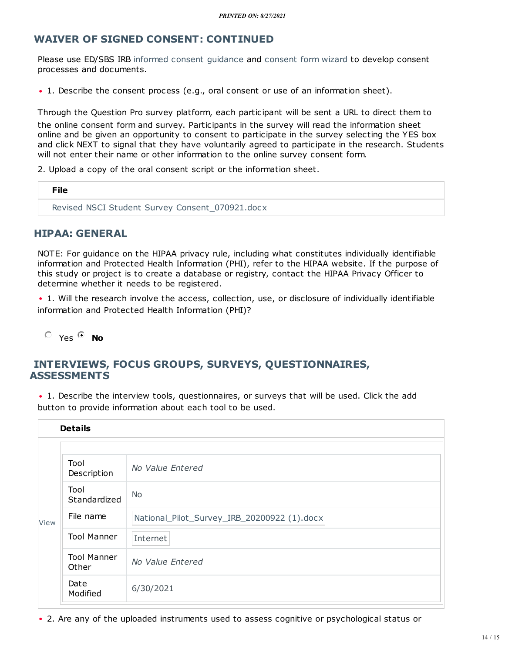# **WAIVER OF SIGNED CONSENT: [CONTINUED](https://arrow.wisc.edu/arrow/sd/ResourceAdministration/Project/ProjectEditor?Project=com.webridge.entity.Entity[OID[B752A0D52BE25A4F8CFB8B228DE3B8F9]]&Mode=smartform&WizardPageOID=com.webridge.entity.Entity[OID[DE6A7E93CEE27D44A95B9AE9235348F3]])**

Please use ED/SBS IRB informed consent [guidance](https://kb.wisc.edu/sbsedirbs/page.php?id=57722) and [consent](https://rcr.gradsch.wisc.edu/cfwizard/start.asp?wisc) form wizard to develop consent processes and documents.

• 1. Describe the consent process (e.g., oral consent or use of an information sheet).

Through the Question Pro survey platform, each participant will be sent a URL to direct them to the online consent form and survey. Participants in the survey will read the information sheet online and be given an opportunity to consent to participate in the survey selecting the YES box and click NEXT to signal that they have voluntarily agreed to participate in the research. Students will not enter their name or other information to the online survey consent form.

2. Upload a copy of the oral consent script or the information sheet.

| File                                            |  |
|-------------------------------------------------|--|
| Revised NSCI Student Survey Consent_070921.docx |  |

#### **HIPAA: [GENERAL](https://arrow.wisc.edu/arrow/sd/ResourceAdministration/Project/ProjectEditor?Project=com.webridge.entity.Entity[OID[B752A0D52BE25A4F8CFB8B228DE3B8F9]]&Mode=smartform&WizardPageOID=com.webridge.entity.Entity[OID[FC152FACE778F641B81DAAAE1FD94D72]])**

NOTE: For guidance on the HIPAA privacy rule, including what constitutes individually identifiable information and Protected Health Information (PHI), refer to the HIPAA website. If the purpose of this study or project is to create a database or registry, contact the HIPAA Privacy Officer to determine whether it needs to be registered.

• 1. Will the research involve the access, collection, use, or disclosure of individually identifiable information and Protected Health Information (PHI)?

 $O$  Yes  $O$  **No** 

# **INTERVIEWS, FOCUS GROUPS, SURVEYS, [QUESTIONNAIRES,](https://arrow.wisc.edu/arrow/sd/ResourceAdministration/Project/ProjectEditor?Project=com.webridge.entity.Entity[OID[B752A0D52BE25A4F8CFB8B228DE3B8F9]]&Mode=smartform&WizardPageOID=com.webridge.entity.Entity[OID[F9650104AE56C74FB7ACC3BB57479D91]]) ASSESSMENTS**

• 1. Describe the interview tools, questionnaires, or surveys that will be used. Click the add button to provide information about each tool to be used.

|      | <b>Details</b>              |                                             |
|------|-----------------------------|---------------------------------------------|
|      |                             |                                             |
|      | Tool<br>Description         | No Value Entered                            |
|      | Tool<br>Standardized        | <b>No</b>                                   |
| View | File name                   | National_Pilot_Survey_IRB_20200922 (1).docx |
|      | <b>Tool Manner</b>          | Internet                                    |
|      | <b>Tool Manner</b><br>Other | No Value Entered                            |
|      | Date<br>Modified            | 6/30/2021                                   |

• 2. Are any of the uploaded instruments used to assess cognitive or psychological status or